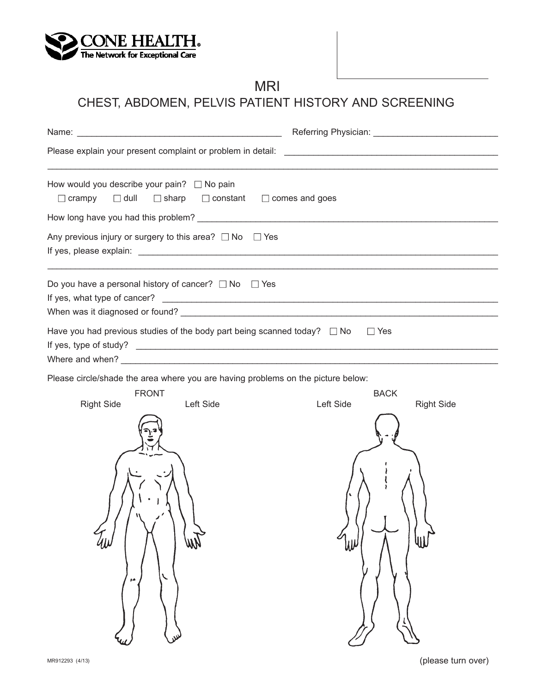

# MRI

# CHEST, ABDOMEN, PELVIS PATIENT HISTORY AND SCREENING

| How would you describe your pain? $\Box$ No pain<br>$\Box$ dull<br>$\Box$ sharp $\Box$ constant<br>$\Box$ crampy                   | $\Box$ comes and goes                         |  |
|------------------------------------------------------------------------------------------------------------------------------------|-----------------------------------------------|--|
|                                                                                                                                    |                                               |  |
| Any previous injury or surgery to this area? $\Box$ No $\Box$ Yes                                                                  |                                               |  |
| Do you have a personal history of cancer? $\Box$ No $\Box$ Yes                                                                     |                                               |  |
| Have you had previous studies of the body part being scanned today? $\Box$ No<br>Where and when? $\qquad \qquad$                   | $\Box$ Yes                                    |  |
| Please circle/shade the area where you are having problems on the picture below:<br><b>FRONT</b><br><b>Right Side</b><br>Left Side | <b>BACK</b><br>Left Side<br><b>Right Side</b> |  |